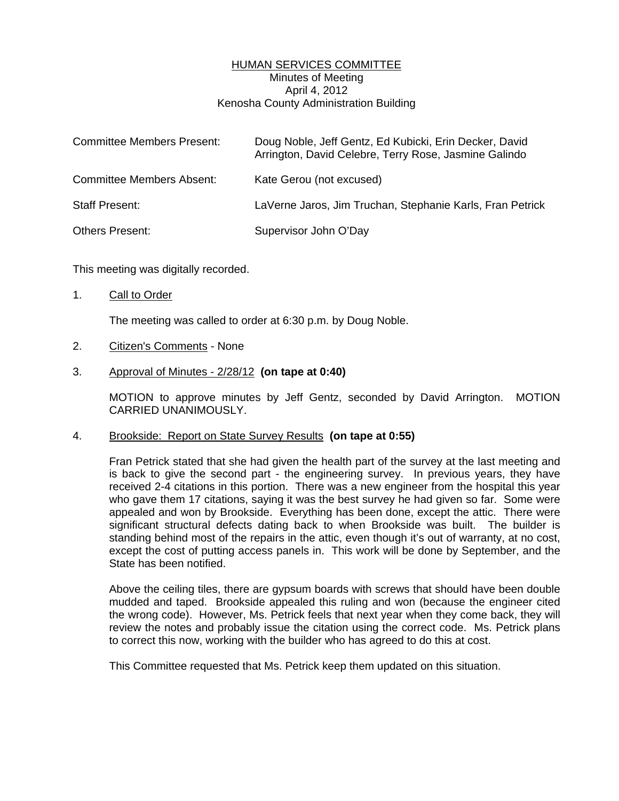## HUMAN SERVICES COMMITTEE Minutes of Meeting April 4, 2012 Kenosha County Administration Building

| <b>Committee Members Present:</b> | Doug Noble, Jeff Gentz, Ed Kubicki, Erin Decker, David<br>Arrington, David Celebre, Terry Rose, Jasmine Galindo |
|-----------------------------------|-----------------------------------------------------------------------------------------------------------------|
| <b>Committee Members Absent:</b>  | Kate Gerou (not excused)                                                                                        |
| <b>Staff Present:</b>             | LaVerne Jaros, Jim Truchan, Stephanie Karls, Fran Petrick                                                       |
| <b>Others Present:</b>            | Supervisor John O'Day                                                                                           |

This meeting was digitally recorded.

1. Call to Order

The meeting was called to order at 6:30 p.m. by Doug Noble.

- 2. Citizen's Comments None
- 3. Approval of Minutes 2/28/12 **(on tape at 0:40)**

 MOTION to approve minutes by Jeff Gentz, seconded by David Arrington. MOTION CARRIED UNANIMOUSLY.

## 4. Brookside: Report on State Survey Results **(on tape at 0:55)**

 Fran Petrick stated that she had given the health part of the survey at the last meeting and is back to give the second part - the engineering survey. In previous years, they have received 2-4 citations in this portion. There was a new engineer from the hospital this year who gave them 17 citations, saying it was the best survey he had given so far. Some were appealed and won by Brookside. Everything has been done, except the attic. There were significant structural defects dating back to when Brookside was built. The builder is standing behind most of the repairs in the attic, even though it's out of warranty, at no cost, except the cost of putting access panels in. This work will be done by September, and the State has been notified.

 Above the ceiling tiles, there are gypsum boards with screws that should have been double mudded and taped. Brookside appealed this ruling and won (because the engineer cited the wrong code). However, Ms. Petrick feels that next year when they come back, they will review the notes and probably issue the citation using the correct code. Ms. Petrick plans to correct this now, working with the builder who has agreed to do this at cost.

This Committee requested that Ms. Petrick keep them updated on this situation.